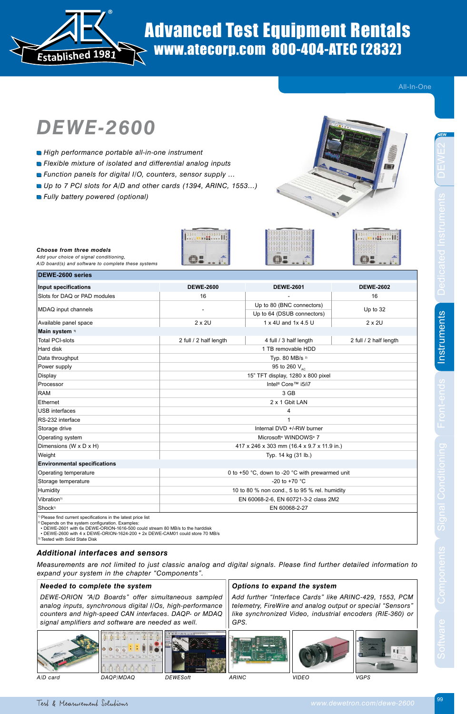

## Advanced Test Equipment Rentals www.atecorp.com 800-404-ATEC (2832)

All-In-One

# *DEWE-2600*

- *High performance portable all-in-one instrument*
- *Flexible mixture of isolated and differential analog inputs*
- *Function panels for digital I/O, counters, sensor supply …*
- Up to 7 PCI slots for A/D and other cards (1394, ARINC, 1553...)
- *Fully battery powered (optional)*

*A/D board(s) and software to complete these systems*

**DEWE-2600 series**

*Choose from three models Add your choice of signal conditioning,* 



MONTH

B

| Input specifications                | <b>DEWE-2600</b>                              | <b>DEWE-2601</b>                                | <b>DEWE-2602</b>       |  |
|-------------------------------------|-----------------------------------------------|-------------------------------------------------|------------------------|--|
| Slots for DAQ or PAD modules        | 16                                            |                                                 | 16                     |  |
| MDAQ input channels                 |                                               | Up to 80 (BNC connectors)                       | Up to 32               |  |
|                                     |                                               | Up to 64 (DSUB connectors)                      |                        |  |
| Available panel space               | 2 x 2U                                        | 1 x 4U and 1x 4.5 U                             | $2 \times 20$          |  |
| Main system 1)                      |                                               |                                                 |                        |  |
| <b>Total PCI-slots</b>              | 2 full / 2 half length                        | 4 full / 3 half length                          | 2 full / 2 half length |  |
| Hard disk                           |                                               | 1 TB removable HDD                              |                        |  |
| Data throughput                     | Typ. 80 MB/s <sup>2)</sup>                    |                                                 |                        |  |
| Power supply                        | 95 to 260 V <sub>AC</sub>                     |                                                 |                        |  |
| Display                             | 15" TFT display, 1280 x 800 pixel             |                                                 |                        |  |
| Processor                           | Intel <sup>®</sup> Core™ i5/i7                |                                                 |                        |  |
| <b>RAM</b>                          | 3 GB                                          |                                                 |                        |  |
| Ethernet                            | 2 x 1 Gbit LAN                                |                                                 |                        |  |
| <b>USB</b> interfaces               | 4                                             |                                                 |                        |  |
| RS-232 interface                    |                                               |                                                 |                        |  |
| Storage drive                       | Internal DVD +/-RW burner                     |                                                 |                        |  |
| Operating system                    | Microsoft <sup>®</sup> WINDOWS <sup>®</sup> 7 |                                                 |                        |  |
| Dimensions (W x D x H)              | 417 x 246 x 303 mm (16.4 x 9.7 x 11.9 in.)    |                                                 |                        |  |
| Weight                              | Typ. 14 kg (31 lb.)                           |                                                 |                        |  |
| <b>Environmental specifications</b> |                                               |                                                 |                        |  |
| Operating temperature               |                                               | 0 to +50 °C, down to -20 °C with prewarmed unit |                        |  |
| Storage temperature                 | -20 to +70 $^{\circ}$ C                       |                                                 |                        |  |
| Humidity                            | 10 to 80 % non cond., 5 to 95 % rel. humidity |                                                 |                        |  |
| Vibration <sup>3)</sup>             | EN 60068-2-6, EN 60721-3-2 class 2M2          |                                                 |                        |  |
| Shock <sup>3)</sup>                 | EN 60068-2-27                                 |                                                 |                        |  |

MARK III

P

<sup>2)</sup> Depends on the system configuration. Examples:<br>• DEWE-2601 with 6x DEWE-ORION-1616-500 could stream 80 MB/s to the harddisk<br>• DEWE-2600 with 4 x DEWE-ORION-1624-200 + 2x DEWE-CAM01 could store 70 MB/s

Tested with Solid State Disk

#### *Additional interfaces and sensors*

*Measurements are not limited to just classic analog and digital signals. Please find further detailed information to expand your system in the chapter "Components".* 

#### *Needed to complete the system*

*DEWE-ORION "A/D Boards" offer simultaneous sampled analog inputs, synchronous digital I/Os, high-performance counters and high-speed CAN interfaces. DAQP- or MDAQ signal amplifiers and software are needed as well.* 





*GPS.*

*Options to expand the system*

*Add further "Interface Cards" like ARINC-429, 1553, PCM telemetry, FireWire and analog output or special "Sensors" like synchronized Video, industrial encoders (RIE-360) or* 



*A/D card DAQP/MDAQ DEWESoft ARINC VIDEO VGPS*

99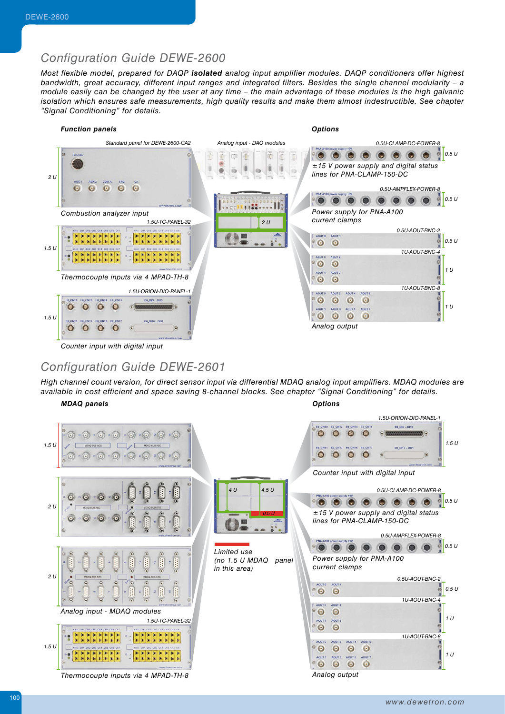#### *Configuration Guide DEWE-2600*

*Most flexible model, prepared for DAQP isolated analog input amplifier modules. DAQP conditioners offer highest bandwidth, great accuracy, different input ranges and integrated filters. Besides the single channel modularity – a module easily can be changed by the user at any time – the main advantage of these modules is the high galvanic isolation which ensures safe measurements, high quality results and make them almost indestructible. See chapter "Signal Conditioning" for details.*



### *Configuration Guide DEWE-2601*

*High channel count version, for direct sensor input via differential MDAQ analog input amplifiers. MDAQ modules are available in cost efficient and space saving 8-channel blocks. See chapter "Signal Conditioning" for details.*

*MDAQ panels*

*Options*

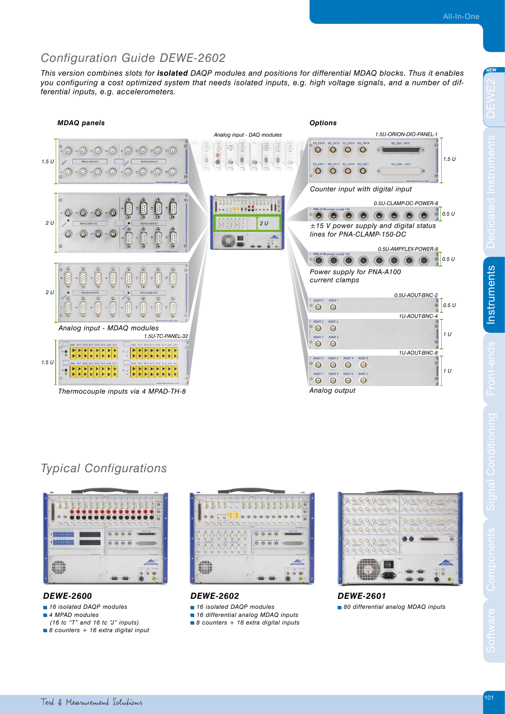## *Configuration Guide DEWE-2602*

*This version combines slots for isolated DAQP modules and positions for differential MDAQ blocks. Thus it enables you configuring a cost optimized system that needs isolated inputs, e.g. high voltage signals, and a number of differential inputs, e.g. accelerometers.*



## *Typical Configurations*



#### *DEWE-2600*

- *16 isolated DAQP modules 4 MPAD modules*
- *(16 tc "T" and 16 tc "J" inputs)*
- *8 counters + 16 extra digital input*



*DEWE-2602* 

- *16 isolated DAQP modules*
- *16 differential analog MDAQ inputs*
- *8 counters + 16 extra digital inputs*



### *DEWE-2601*

 *80 differential analog MDAQ inputs*